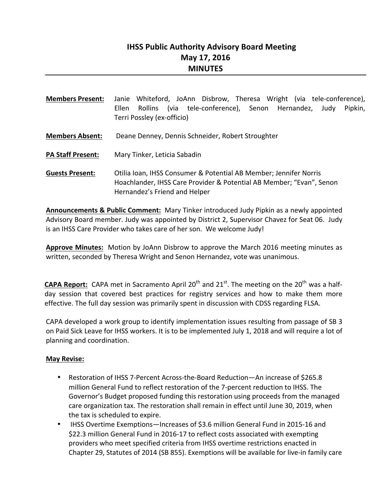# **IHSS Public Authority Advisory Board Meeting May 17, 2016 MINUTES**

| <b>Members Present:</b>  | Whiteford, JoAnn Disbrow, Theresa Wright (via tele-conference),<br>Janie<br>Rollins (via tele-conference), Senon Hernandez,<br>Ellen<br>Judy<br>Pipkin,<br>Terri Possley (ex-officio) |
|--------------------------|---------------------------------------------------------------------------------------------------------------------------------------------------------------------------------------|
| <b>Members Absent:</b>   | Deane Denney, Dennis Schneider, Robert Stroughter                                                                                                                                     |
| <b>PA Staff Present:</b> | Mary Tinker, Leticia Sabadin                                                                                                                                                          |
| <b>Guests Present:</b>   | Otilia Ioan, IHSS Consumer & Potential AB Member; Jennifer Norris<br>Hoachlander, IHSS Care Provider & Potential AB Member; "Evan", Senon<br>Hernandez's Friend and Helper            |

**Announcements & Public Comment:** Mary Tinker introduced Judy Pipkin as a newly appointed Advisory Board member. Judy was appointed by District 2, Supervisor Chavez for Seat 06. Judy is an IHSS Care Provider who takes care of her son. We welcome Judy!

Approve Minutes: Motion by JoAnn Disbrow to approve the March 2016 meeting minutes as written, seconded by Theresa Wright and Senon Hernandez, vote was unanimous.

**CAPA Report:** CAPA met in Sacramento April 20<sup>th</sup> and 21<sup>st</sup>. The meeting on the 20<sup>th</sup> was a halfday session that covered best practices for registry services and how to make them more effective. The full day session was primarily spent in discussion with CDSS regarding FLSA.

CAPA developed a work group to identify implementation issues resulting from passage of SB 3 on Paid Sick Leave for IHSS workers. It is to be implemented July 1, 2018 and will require a lot of planning and coordination.

### **May Revise:**

- Restoration of IHSS 7-Percent Across-the-Board Reduction—An increase of \$265.8 million General Fund to reflect restoration of the 7-percent reduction to IHSS. The Governor's Budget proposed funding this restoration using proceeds from the managed care organization tax. The restoration shall remain in effect until June 30, 2019, when the tax is scheduled to expire.
- IHSS Overtime Exemptions—Increases of \$3.6 million General Fund in 2015-16 and \$22.3 million General Fund in 2016-17 to reflect costs associated with exempting providers who meet specified criteria from IHSS overtime restrictions enacted in Chapter 29, Statutes of 2014 (SB 855). Exemptions will be available for live-in family care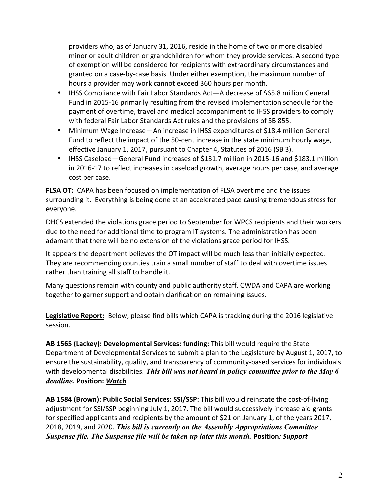providers who, as of January 31, 2016, reside in the home of two or more disabled minor or adult children or grandchildren for whom they provide services. A second type of exemption will be considered for recipients with extraordinary circumstances and granted on a case-by-case basis. Under either exemption, the maximum number of hours a provider may work cannot exceed 360 hours per month.

- IHSS Compliance with Fair Labor Standards Act—A decrease of \$65.8 million General Fund in 2015-16 primarily resulting from the revised implementation schedule for the payment of overtime, travel and medical accompaniment to IHSS providers to comply with federal Fair Labor Standards Act rules and the provisions of SB 855.
- Minimum Wage Increase—An increase in IHSS expenditures of \$18.4 million General Fund to reflect the impact of the 50-cent increase in the state minimum hourly wage, effective January 1, 2017, pursuant to Chapter 4, Statutes of 2016 (SB 3).
- IHSS Caseload—General Fund increases of \$131.7 million in 2015-16 and \$183.1 million in 2016-17 to reflect increases in caseload growth, average hours per case, and average cost per case.

**FLSA OT:** CAPA has been focused on implementation of FLSA overtime and the issues surrounding it. Everything is being done at an accelerated pace causing tremendous stress for everyone. 

DHCS extended the violations grace period to September for WPCS recipients and their workers due to the need for additional time to program IT systems. The administration has been adamant that there will be no extension of the violations grace period for IHSS.

It appears the department believes the OT impact will be much less than initially expected. They are recommending counties train a small number of staff to deal with overtime issues rather than training all staff to handle it.

Many questions remain with county and public authority staff. CWDA and CAPA are working together to garner support and obtain clarification on remaining issues.

Legislative Report: Below, please find bills which CAPA is tracking during the 2016 legislative session. 

AB 1565 (Lackey): Developmental Services: funding: This bill would require the State Department of Developmental Services to submit a plan to the Legislature by August 1, 2017, to ensure the sustainability, quality, and transparency of community-based services for individuals with developmental disabilities. This bill was not heard in policy committee prior to the May 6 *deadline.* **Position:** *Watch*

AB 1584 (Brown): Public Social Services: SSI/SSP: This bill would reinstate the cost-of-living adjustment for SSI/SSP beginning July 1, 2017. The bill would successively increase aid grants for specified applicants and recipients by the amount of \$21 on January 1, of the years 2017, 2018, 2019, and 2020. This bill is currently on the Assembly Appropriations Committee *Suspense file. The Suspense file will be taken up later this month. Position: Support*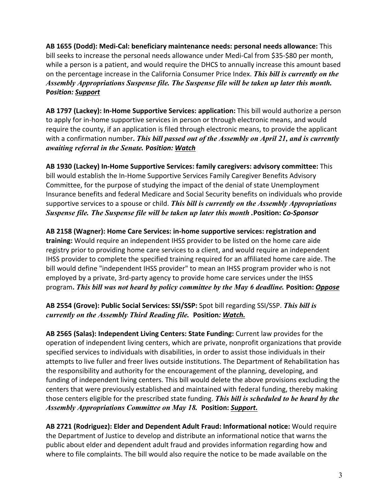**AB 1655 (Dodd): Medi-Cal: beneficiary maintenance needs: personal needs allowance:** This bill seeks to increase the personal needs allowance under Medi-Cal from \$35-\$80 per month, while a person is a patient, and would require the DHCS to annually increase this amount based on the percentage increase in the California Consumer Price Index. *This bill is currently on the Assembly Appropriations Suspense file. The Suspense file will be taken up later this month.*  **P***osition: Support*

AB 1797 (Lackey): In-Home Supportive Services: application: This bill would authorize a person to apply for in-home supportive services in person or through electronic means, and would require the county, if an application is filed through electronic means, to provide the applicant with a confirmation number. *This bill passed out of the Assembly on April 21, and is currently awaiting referral in the Senate.* **P***osition: Watch*

AB 1930 (Lackey) In-Home Supportive Services: family caregivers: advisory committee: This bill would establish the In-Home Supportive Services Family Caregiver Benefits Advisory Committee, for the purpose of studying the impact of the denial of state Unemployment Insurance benefits and federal Medicare and Social Security benefits on individuals who provide supportive services to a spouse or child. This bill is currently on the Assembly Appropriations *Suspense file. The Suspense file will be taken up later this month .***Position:** *Co-Sponsor*

AB 2158 (Wagner): Home Care Services: in-home supportive services: registration and **training:** Would require an independent IHSS provider to be listed on the home care aide registry prior to providing home care services to a client, and would require an independent IHSS provider to complete the specified training required for an affiliated home care aide. The bill would define "independent IHSS provider" to mean an IHSS program provider who is not employed by a private, 3rd-party agency to provide home care services under the IHSS program**.** *This bill was not heard by policy committee by the May 6 deadline.* **Position:** *Oppose*

AB 2554 (Grove): Public Social Services: SSI/SSP: Spot bill regarding SSI/SSP. This bill is *currently on the Assembly Third Reading file. Position: Watch.* 

AB 2565 (Salas): Independent Living Centers: State Funding: Current law provides for the operation of independent living centers, which are private, nonprofit organizations that provide specified services to individuals with disabilities, in order to assist those individuals in their attempts to live fuller and freer lives outside institutions. The Department of Rehabilitation has the responsibility and authority for the encouragement of the planning, developing, and funding of independent living centers. This bill would delete the above provisions excluding the centers that were previously established and maintained with federal funding, thereby making those centers eligible for the prescribed state funding. *This bill is scheduled to be heard by the Assembly Appropriations Committee on May 18.* **Position:** *Support.*

AB 2721 (Rodriguez): Elder and Dependent Adult Fraud: Informational notice: Would require the Department of Justice to develop and distribute an informational notice that warns the public about elder and dependent adult fraud and provides information regarding how and where to file complaints. The bill would also require the notice to be made available on the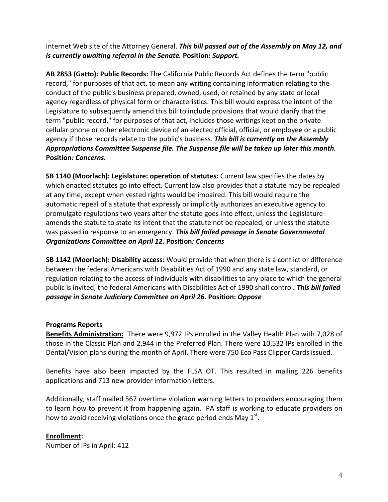Internet Web site of the Attorney General. This bill passed out of the Assembly on May 12, and *is currently awaiting referral in the Senate. Position: Support.* 

AB 2853 (Gatto): Public Records: The California Public Records Act defines the term "public record," for purposes of that act, to mean any writing containing information relating to the conduct of the public's business prepared, owned, used, or retained by any state or local agency regardless of physical form or characteristics. This bill would express the intent of the Legislature to subsequently amend this bill to include provisions that would clarify that the term "public record," for purposes of that act, includes those writings kept on the private cellular phone or other electronic device of an elected official, official, or employee or a public agency if those records relate to the public's business. This bill is currently on the Assembly Appropriations Committee Suspense file. The Suspense file will be taken up later this month. **Position***: Concerns.*

**SB 1140 (Moorlach): Legislature: operation of statutes:** Current law specifies the dates by which enacted statutes go into effect. Current law also provides that a statute may be repealed at any time, except when vested rights would be impaired. This bill would require the automatic repeal of a statute that expressly or implicitly authorizes an executive agency to promulgate regulations two years after the statute goes into effect, unless the Legislature amends the statute to state its intent that the statute not be repealed, or unless the statute was passed in response to an emergency. This bill failed passage in Senate Governmental *Organizations Committee on April 12.* **Position***: Concerns*

**SB 1142 (Moorlach): Disability access:** Would provide that when there is a conflict or difference between the federal Americans with Disabilities Act of 1990 and any state law, standard, or regulation relating to the access of individuals with disabilities to any place to which the general public is invited, the federal Americans with Disabilities Act of 1990 shall control. **This bill failed** *passage in Senate Judiciary Committee on April 26.* **Position:** *Oppose*

### **Programs Reports**

**Benefits Administration:** There were 9,972 IPs enrolled in the Valley Health Plan with 7,028 of those in the Classic Plan and 2,944 in the Preferred Plan. There were 10,532 IPs enrolled in the Dental/Vision plans during the month of April. There were 750 Eco Pass Clipper Cards issued.

Benefits have also been impacted by the FLSA OT. This resulted in mailing 226 benefits applications and 713 new provider information letters.

Additionally, staff mailed 567 overtime violation warning letters to providers encouraging them to learn how to prevent it from happening again. PA staff is working to educate providers on how to avoid receiving violations once the grace period ends May  $1<sup>st</sup>$ .

#### **Enrollment:**

Number of IPs in April: 412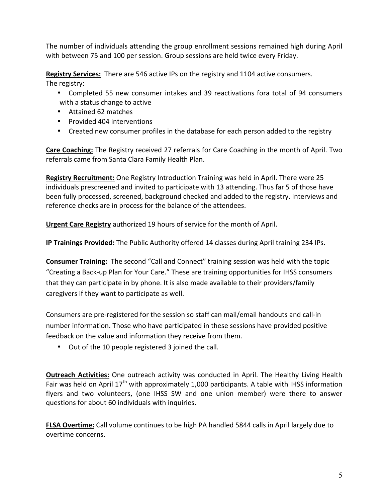The number of individuals attending the group enrollment sessions remained high during April with between 75 and 100 per session. Group sessions are held twice every Friday.

**Registry Services:** There are 546 active IPs on the registry and 1104 active consumers. The registry:

- Completed 55 new consumer intakes and 39 reactivations fora total of 94 consumers with a status change to active
- Attained 62 matches
- Provided 404 interventions
- Created new consumer profiles in the database for each person added to the registry

**Care Coaching:** The Registry received 27 referrals for Care Coaching in the month of April. Two referrals came from Santa Clara Family Health Plan.

**Registry Recruitment:** One Registry Introduction Training was held in April. There were 25 individuals prescreened and invited to participate with 13 attending. Thus far 5 of those have been fully processed, screened, background checked and added to the registry. Interviews and reference checks are in process for the balance of the attendees.

**Urgent Care Registry** authorized 19 hours of service for the month of April.

**IP Trainings Provided:** The Public Authority offered 14 classes during April training 234 IPs.

**Consumer Training:** The second "Call and Connect" training session was held with the topic "Creating a Back-up Plan for Your Care." These are training opportunities for IHSS consumers that they can participate in by phone. It is also made available to their providers/family caregivers if they want to participate as well.

Consumers are pre-registered for the session so staff can mail/email handouts and call-in number information. Those who have participated in these sessions have provided positive feedback on the value and information they receive from them.

• Out of the 10 people registered 3 joined the call.

**Outreach Activities:** One outreach activity was conducted in April. The Healthy Living Health Fair was held on April  $17<sup>th</sup>$  with approximately 1,000 participants. A table with IHSS information flyers and two volunteers, (one IHSS SW and one union member) were there to answer questions for about 60 individuals with inquiries.

**FLSA Overtime:** Call volume continues to be high PA handled 5844 calls in April largely due to overtime concerns.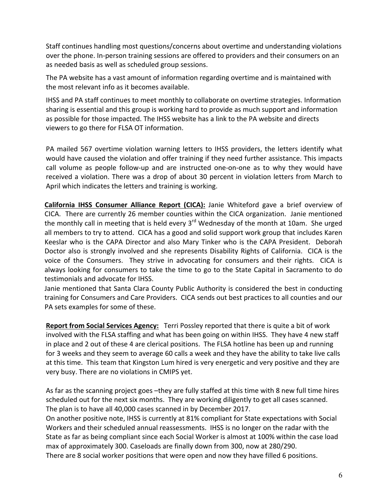Staff continues handling most questions/concerns about overtime and understanding violations over the phone. In-person training sessions are offered to providers and their consumers on an as needed basis as well as scheduled group sessions.

The PA website has a vast amount of information regarding overtime and is maintained with the most relevant info as it becomes available.

IHSS and PA staff continues to meet monthly to collaborate on overtime strategies. Information sharing is essential and this group is working hard to provide as much support and information as possible for those impacted. The IHSS website has a link to the PA website and directs viewers to go there for FLSA OT information.

PA mailed 567 overtime violation warning letters to IHSS providers, the letters identify what would have caused the violation and offer training if they need further assistance. This impacts call volume as people follow-up and are instructed one-on-one as to why they would have received a violation. There was a drop of about 30 percent in violation letters from March to April which indicates the letters and training is working.

**California IHSS Consumer Alliance Report (CICA):** Janie Whiteford gave a brief overview of CICA. There are currently 26 member counties within the CICA organization. Janie mentioned the monthly call in meeting that is held every  $3<sup>rd</sup>$  Wednesday of the month at 10am. She urged all members to try to attend. CICA has a good and solid support work group that includes Karen Keeslar who is the CAPA Director and also Mary Tinker who is the CAPA President. Deborah Doctor also is strongly involved and she represents Disability Rights of California. CICA is the voice of the Consumers. They strive in advocating for consumers and their rights. CICA is always looking for consumers to take the time to go to the State Capital in Sacramento to do testimonials and advocate for IHSS.

Janie mentioned that Santa Clara County Public Authority is considered the best in conducting training for Consumers and Care Providers. CICA sends out best practices to all counties and our PA sets examples for some of these.

**Report from Social Services Agency:** Terri Possley reported that there is quite a bit of work involved with the FLSA staffing and what has been going on within IHSS. They have 4 new staff in place and 2 out of these 4 are clerical positions. The FLSA hotline has been up and running for 3 weeks and they seem to average 60 calls a week and they have the ability to take live calls at this time. This team that Kingston Lum hired is very energetic and very positive and they are very busy. There are no violations in CMIPS yet.

As far as the scanning project goes –they are fully staffed at this time with 8 new full time hires scheduled out for the next six months. They are working diligently to get all cases scanned. The plan is to have all 40,000 cases scanned in by December 2017.

On another positive note, IHSS is currently at 81% compliant for State expectations with Social Workers and their scheduled annual reassessments. IHSS is no longer on the radar with the State as far as being compliant since each Social Worker is almost at 100% within the case load max of approximately 300. Caseloads are finally down from 300, now at 280/290. There are 8 social worker positions that were open and now they have filled 6 positions.